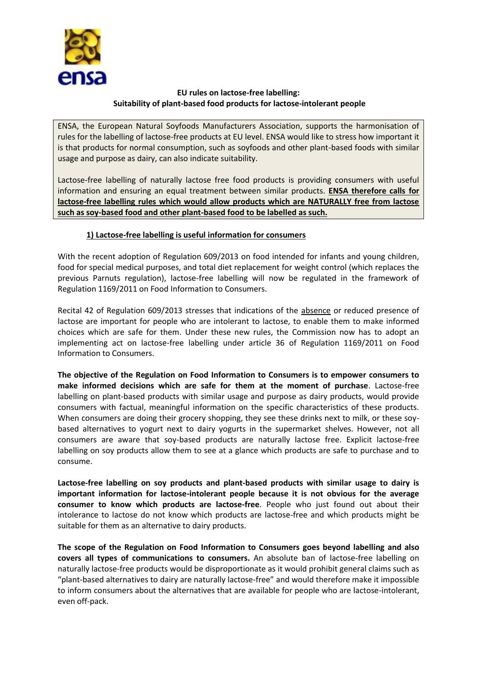

## **EU rules on lactose-free labelling: Suitability of plant-based food products for lactose-intolerant people**

ENSA, the European Natural Soyfoods Manufacturers Association, supports the harmonisation of rules for the labelling of lactose-free products at EU level. ENSA would like to stress how important it is that products for normal consumption, such as soyfoods and other plant-based foods with similar usage and purpose as dairy, can also indicate suitability.

Lactose-free labelling of naturally lactose free food products is providing consumers with useful information and ensuring an equal treatment between similar products. **ENSA therefore calls for lactose-free labelling rules which would allow products which are NATURALLY free from lactose such as soy-based food and other plant-based food to be labelled as such.**

## **1) Lactose-free labelling is useful information for consumers**

With the recent adoption of Regulation 609/2013 on food intended for infants and young children, food for special medical purposes, and total diet replacement for weight control (which replaces the previous Parnuts regulation), lactose-free labelling will now be regulated in the framework of Regulation 1169/2011 on Food Information to Consumers.

Recital 42 of Regulation 609/2013 stresses that indications of the absence or reduced presence of lactose are important for people who are intolerant to lactose, to enable them to make informed choices which are safe for them. Under these new rules, the Commission now has to adopt an implementing act on lactose-free labelling under article 36 of Regulation 1169/2011 on Food Information to Consumers.

**The objective of the Regulation on Food Information to Consumers is to empower consumers to make informed decisions which are safe for them at the moment of purchase**. Lactose-free labelling on plant-based products with similar usage and purpose as dairy products, would provide consumers with factual, meaningful information on the specific characteristics of these products. When consumers are doing their grocery shopping, they see these drinks next to milk, or these soybased alternatives to yogurt next to dairy yogurts in the supermarket shelves. However, not all consumers are aware that soy-based products are naturally lactose free. Explicit lactose-free labelling on soy products allow them to see at a glance which products are safe to purchase and to consume.

**Lactose-free labelling on soy products and plant-based products with similar usage to dairy is important information for lactose-intolerant people because it is not obvious for the average consumer to know which products are lactose-free**. People who just found out about their intolerance to lactose do not know which products are lactose-free and which products might be suitable for them as an alternative to dairy products.

**The scope of the Regulation on Food Information to Consumers goes beyond labelling and also covers all types of communications to consumers.** An absolute ban of lactose-free labelling on naturally lactose-free products would be disproportionate as it would prohibit general claims such as "plant-based alternatives to dairy are naturally lactose-free" and would therefore make it impossible to inform consumers about the alternatives that are available for people who are lactose-intolerant, even off-pack.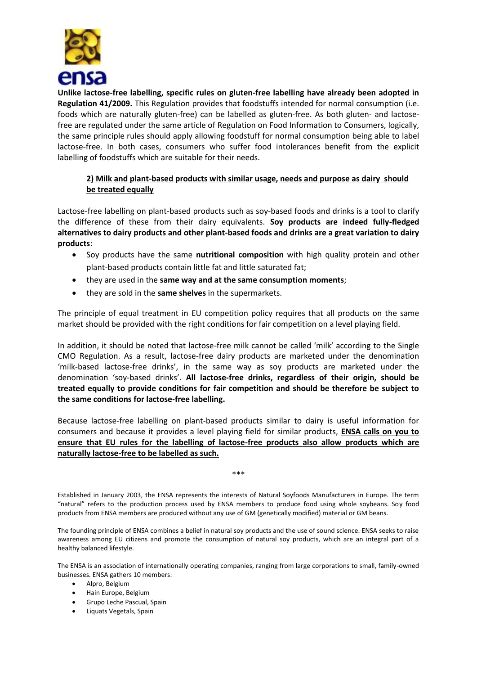

**Unlike lactose-free labelling, specific rules on gluten-free labelling have already been adopted in Regulation 41/2009.** This Regulation provides that foodstuffs intended for normal consumption (i.e. foods which are naturally gluten-free) can be labelled as gluten-free. As both gluten- and lactosefree are regulated under the same article of Regulation on Food Information to Consumers, logically, the same principle rules should apply allowing foodstuff for normal consumption being able to label lactose-free. In both cases, consumers who suffer food intolerances benefit from the explicit labelling of foodstuffs which are suitable for their needs.

## **2) Milk and plant-based products with similar usage, needs and purpose as dairy should be treated equally**

Lactose-free labelling on plant-based products such as soy-based foods and drinks is a tool to clarify the difference of these from their dairy equivalents. **Soy products are indeed fully-fledged alternatives to dairy products and other plant-based foods and drinks are a great variation to dairy products**:

- Soy products have the same **nutritional composition** with high quality protein and other plant-based products contain little fat and little saturated fat;
- they are used in the **same way and at the same consumption moments**;
- they are sold in the **same shelves** in the supermarkets.

The principle of equal treatment in EU competition policy requires that all products on the same market should be provided with the right conditions for fair competition on a level playing field.

In addition, it should be noted that lactose-free milk cannot be called 'milk' according to the Single CMO Regulation. As a result, lactose-free dairy products are marketed under the denomination 'milk-based lactose-free drinks', in the same way as soy products are marketed under the denomination 'soy-based drinks'. **All lactose-free drinks, regardless of their origin, should be treated equally to provide conditions for fair competition and should be therefore be subject to the same conditions for lactose-free labelling.** 

Because lactose-free labelling on plant-based products similar to dairy is useful information for consumers and because it provides a level playing field for similar products, **ENSA calls on you to ensure that EU rules for the labelling of lactose-free products also allow products which are naturally lactose-free to be labelled as such.** 

Established in January 2003, the ENSA represents the interests of Natural Soyfoods Manufacturers in Europe. The term "natural" refers to the production process used by ENSA members to produce food using whole soybeans. Soy food products from ENSA members are produced without any use of GM (genetically modified) material or GM beans.

\*\*\*

The founding principle of ENSA combines a belief in natural soy products and the use of sound science. ENSA seeks to raise awareness among EU citizens and promote the consumption of natural soy products, which are an integral part of a healthy balanced lifestyle.

The ENSA is an association of internationally operating companies, ranging from large corporations to small, family-owned businesses. ENSA gathers 10 members:

- Alpro, Belgium
- Hain Europe, Belgium
- Grupo Leche Pascual, Spain
- Liquats Vegetals, Spain